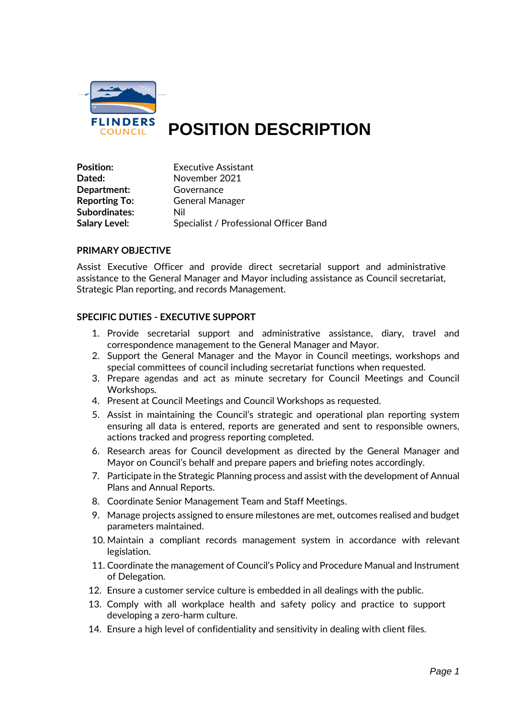

# **POSITION DESCRIPTION**

| Position:            | Executive Assistant                    |
|----------------------|----------------------------------------|
| Dated:               | November 2021                          |
| Department:          | Governance                             |
| <b>Reporting To:</b> | <b>General Manager</b>                 |
| Subordinates:        | Nil                                    |
| <b>Salary Level:</b> | Specialist / Professional Officer Band |

#### **PRIMARY OBJECTIVE**

Assist Executive Officer and provide direct secretarial support and administrative assistance to the General Manager and Mayor including assistance as Council secretariat, Strategic Plan reporting, and records Management.

## **SPECIFIC DUTIES - EXECUTIVE SUPPORT**

- 1. Provide secretarial support and administrative assistance, diary, travel and correspondence management to the General Manager and Mayor.
- 2. Support the General Manager and the Mayor in Council meetings, workshops and special committees of council including secretariat functions when requested.
- 3. Prepare agendas and act as minute secretary for Council Meetings and Council Workshops.
- 4. Present at Council Meetings and Council Workshops as requested.
- 5. Assist in maintaining the Council's strategic and operational plan reporting system ensuring all data is entered, reports are generated and sent to responsible owners, actions tracked and progress reporting completed.
- 6. Research areas for Council development as directed by the General Manager and Mayor on Council's behalf and prepare papers and briefing notes accordingly.
- 7. Participate in the Strategic Planning process and assist with the development of Annual Plans and Annual Reports.
- 8. Coordinate Senior Management Team and Staff Meetings.
- 9. Manage projects assigned to ensure milestones are met, outcomes realised and budget parameters maintained.
- 10. Maintain a compliant records management system in accordance with relevant legislation.
- 11. Coordinate the management of Council's Policy and Procedure Manual and Instrument of Delegation.
- 12. Ensure a customer service culture is embedded in all dealings with the public.
- 13. Comply with all workplace health and safety policy and practice to support developing a zero-harm culture.
- 14. Ensure a high level of confidentiality and sensitivity in dealing with client files.